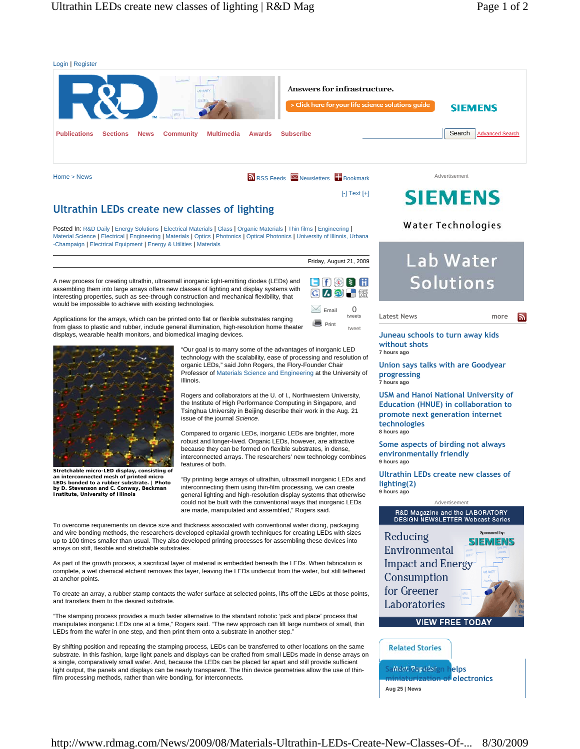

Home > News

**N** RSS Feeds Mewsletters **Bookmark** 

Email

**Print** tweet

Friday, August 21, 2009

 $\blacksquare$   $\blacksquare$   $\blacksquare$   $\blacksquare$   $\blacksquare$ **CAD** 

> 0 tweets

 $[-]$  Text  $[+]$ 

# **SIEMENS**

# **Ultrathin LEDs create new classes of lighting**

Posted In: R&D Daily | Energy Solutions | Electrical Materials | Glass | Organic Materials | Thin films | Engineering | Material Science | Electrical | Engineering | Materials | Optics | Photonics | Optical Photonics | University of Illinois, Urbana -Champaign | Electrical Equipment | Energy & Utilities | Materials

A new process for creating ultrathin, ultrasmall inorganic light-emitting diodes (LEDs) and assembling them into large arrays offers new classes of lighting and display systems with interesting properties, such as see-through construction and mechanical flexibility, that would be impossible to achieve with existing technologies.

Applications for the arrays, which can be printed onto flat or flexible substrates ranging from glass to plastic and rubber, include general illumination, high-resolution home theater displays, wearable health monitors, and biomedical imaging devices.



**Stretchable micro-LED display, consisting of an interconnected mesh of printed micro LEDs bonded to a rubber substrate. | Photo by D. Stevenson and C. Conway, Beckman Institute, University of Illinois**

"Our goal is to marry some of the advantages of inorganic LED technology with the scalability, ease of processing and resolution of organic LEDs," said John Rogers, the Flory-Founder Chair Professor of Materials Science and Engineering at the University of Illinois.

Rogers and collaborators at the U. of I., Northwestern University, the Institute of High Performance Computing in Singapore, and Tsinghua University in Beijing describe their work in the Aug. 21 issue of the journal *Science*.

Compared to organic LEDs, inorganic LEDs are brighter, more robust and longer-lived. Organic LEDs, however, are attractive because they can be formed on flexible substrates, in dense, interconnected arrays. The researchers' new technology combines features of both.

"By printing large arrays of ultrathin, ultrasmall inorganic LEDs and interconnecting them using thin-film processing, we can create general lighting and high-resolution display systems that otherwise could not be built with the conventional ways that inorganic LEDs are made, manipulated and assembled," Rogers said.

To overcome requirements on device size and thickness associated with conventional wafer dicing, packaging and wire bonding methods, the researchers developed epitaxial growth techniques for creating LEDs with sizes up to 100 times smaller than usual. They also developed printing processes for assembling these devices into arrays on stiff, flexible and stretchable substrates.

As part of the growth process, a sacrificial layer of material is embedded beneath the LEDs. When fabrication is complete, a wet chemical etchent removes this layer, leaving the LEDs undercut from the wafer, but still tethered at anchor points

To create an array, a rubber stamp contacts the wafer surface at selected points, lifts off the LEDs at those points, and transfers them to the desired substrate.

"The stamping process provides a much faster alternative to the standard robotic 'pick and place' process that manipulates inorganic LEDs one at a time," Rogers said. "The new approach can lift large numbers of small, thin LEDs from the wafer in one step, and then print them onto a substrate in another step.'

By shifting position and repeating the stamping process, LEDs can be transferred to other locations on the same substrate. In this fashion, large light panels and displays can be crafted from small LEDs made in dense arrays on a single, comparatively small wafer. And, because the LEDs can be placed far apart and still provide sufficient light output, the panels and displays can be nearly transparent. The thin device geometries allow the use of thinfilm processing methods, rather than wire bonding, for interconnects.

# Water Technologies

# Lab Water Solutions

**more**

 $\mathbf{z}$ 

**Juneau schools to turn away kids** 



**Latest News**

**Union says talks with are Goodyear progressing 7 hours ago**

**USM and Hanoi National University of Education (HNUE) in collaboration to promote next generation internet technologies 8 hours ago**

**Some aspects of birding not always environmentally friendly 9 hours ago**

**Ultrathin LEDs create new classes of lighting(2) 9 hours ago**

# Advertisement R&D Magazine and the LABORATORY DESIGN NEWSLETTER Webcast Series Sponsored by: Reducing **SIEMENS** Environmental **Impact and Energy** Consumption for Greener Laboratories **VIEW FREE TODAY**

**Sandwich design helps miniaturization of electronics Aug 25 | News**

**Related Stories**